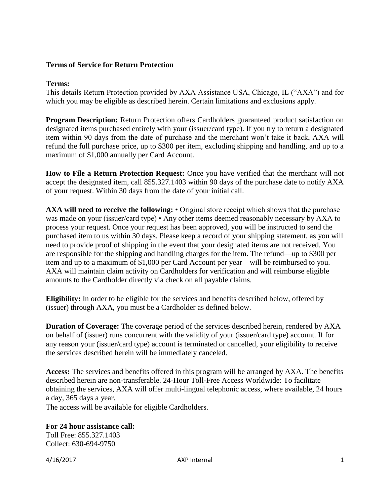## **Terms of Service for Return Protection**

## **Terms:**

This details Return Protection provided by AXA Assistance USA, Chicago, IL ("AXA") and for which you may be eligible as described herein. Certain limitations and exclusions apply.

**Program Description:** Return Protection offers Cardholders guaranteed product satisfaction on designated items purchased entirely with your (issuer/card type). If you try to return a designated item within 90 days from the date of purchase and the merchant won't take it back, AXA will refund the full purchase price, up to \$300 per item, excluding shipping and handling, and up to a maximum of \$1,000 annually per Card Account.

**How to File a Return Protection Request:** Once you have verified that the merchant will not accept the designated item, call 855.327.1403 within 90 days of the purchase date to notify AXA of your request. Within 30 days from the date of your initial call.

**AXA will need to receive the following:** • Original store receipt which shows that the purchase was made on your (issuer/card type) • Any other items deemed reasonably necessary by AXA to process your request. Once your request has been approved, you will be instructed to send the purchased item to us within 30 days. Please keep a record of your shipping statement, as you will need to provide proof of shipping in the event that your designated items are not received. You are responsible for the shipping and handling charges for the item. The refund—up to \$300 per item and up to a maximum of \$1,000 per Card Account per year—will be reimbursed to you. AXA will maintain claim activity on Cardholders for verification and will reimburse eligible amounts to the Cardholder directly via check on all payable claims.

**Eligibility:** In order to be eligible for the services and benefits described below, offered by (issuer) through AXA, you must be a Cardholder as defined below.

**Duration of Coverage:** The coverage period of the services described herein, rendered by AXA on behalf of (issuer) runs concurrent with the validity of your (issuer/card type) account. If for any reason your (issuer/card type) account is terminated or cancelled, your eligibility to receive the services described herein will be immediately canceled.

**Access:** The services and benefits offered in this program will be arranged by AXA. The benefits described herein are non-transferable. 24-Hour Toll-Free Access Worldwide: To facilitate obtaining the services, AXA will offer multi-lingual telephonic access, where available, 24 hours a day, 365 days a year.

The access will be available for eligible Cardholders.

**For 24 hour assistance call:**  Toll Free: 855.327.1403 Collect: 630-694-9750